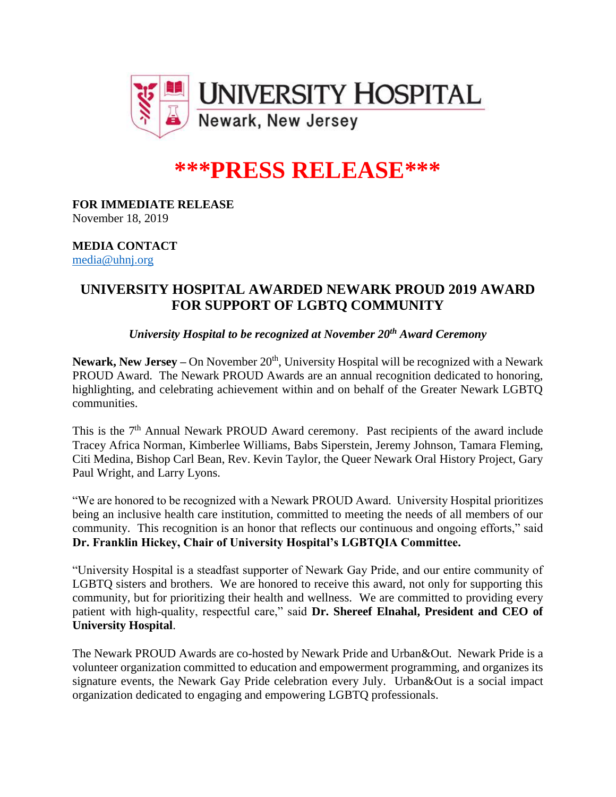

# **\*\*\*PRESS RELEASE\*\*\***

**FOR IMMEDIATE RELEASE** November 18, 2019

### **MEDIA CONTACT** [media@uhnj.org](mailto:media@uhnj.org)

# **UNIVERSITY HOSPITAL AWARDED NEWARK PROUD 2019 AWARD FOR SUPPORT OF LGBTQ COMMUNITY**

# *University Hospital to be recognized at November 20th Award Ceremony*

Newark, New Jersey – On November 20<sup>th</sup>, University Hospital will be recognized with a Newark PROUD Award. The Newark PROUD Awards are an annual recognition dedicated to honoring, highlighting, and celebrating achievement within and on behalf of the Greater Newark LGBTQ communities.

This is the 7<sup>th</sup> Annual Newark PROUD Award ceremony. Past recipients of the award include Tracey Africa Norman, Kimberlee Williams, Babs Siperstein, Jeremy Johnson, Tamara Fleming, Citi Medina, Bishop Carl Bean, Rev. Kevin Taylor, the Queer Newark Oral History Project, Gary Paul Wright, and Larry Lyons.

"We are honored to be recognized with a Newark PROUD Award. University Hospital prioritizes being an inclusive health care institution, committed to meeting the needs of all members of our community. This recognition is an honor that reflects our continuous and ongoing efforts," said **Dr. Franklin Hickey, Chair of University Hospital's LGBTQIA Committee.**

"University Hospital is a steadfast supporter of Newark Gay Pride, and our entire community of LGBTQ sisters and brothers. We are honored to receive this award, not only for supporting this community, but for prioritizing their health and wellness. We are committed to providing every patient with high-quality, respectful care," said **Dr. Shereef Elnahal, President and CEO of University Hospital**.

The Newark PROUD Awards are co-hosted by Newark Pride and Urban&Out. Newark Pride is a volunteer organization committed to education and empowerment programming, and organizes its signature events, the Newark Gay Pride celebration every July. Urban&Out is a social impact organization dedicated to engaging and empowering LGBTQ professionals.